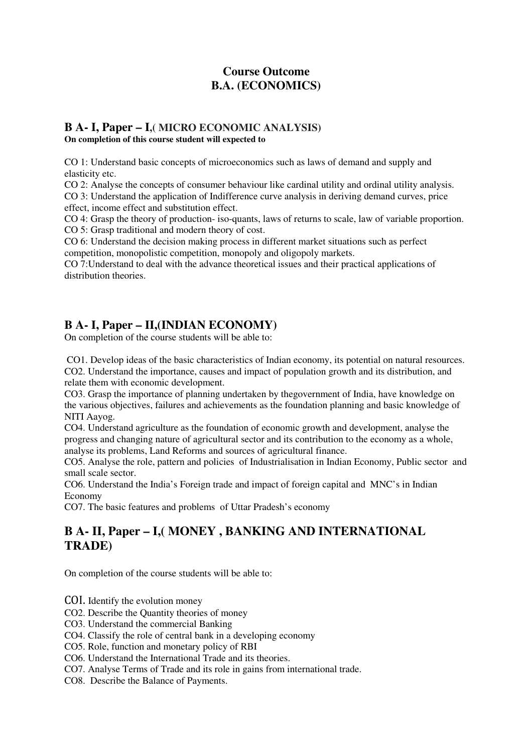### **Course Outcome B.A. (ECONOMICS)**

#### **B A- I, Paper – I,( MICRO ECONOMIC ANALYSIS) On completion of this course student will expected to**

CO 1: Understand basic concepts of microeconomics such as laws of demand and supply and elasticity etc.

CO 2: Analyse the concepts of consumer behaviour like cardinal utility and ordinal utility analysis.

CO 3: Understand the application of Indifference curve analysis in deriving demand curves, price effect, income effect and substitution effect.

CO 4: Grasp the theory of production- iso-quants, laws of returns to scale, law of variable proportion. CO 5: Grasp traditional and modern theory of cost.

CO 6: Understand the decision making process in different market situations such as perfect competition, monopolistic competition, monopoly and oligopoly markets.

CO 7:Understand to deal with the advance theoretical issues and their practical applications of distribution theories.

# **B A- I, Paper – II,(INDIAN ECONOMY)**

On completion of the course students will be able to:

 CO1. Develop ideas of the basic characteristics of Indian economy, its potential on natural resources. CO2. Understand the importance, causes and impact of population growth and its distribution, and relate them with economic development.

CO3. Grasp the importance of planning undertaken by thegovernment of India, have knowledge on the various objectives, failures and achievements as the foundation planning and basic knowledge of NITI Aayog.

CO4. Understand agriculture as the foundation of economic growth and development, analyse the progress and changing nature of agricultural sector and its contribution to the economy as a whole, analyse its problems, Land Reforms and sources of agricultural finance.

CO5. Analyse the role, pattern and policies of Industrialisation in Indian Economy, Public sector and small scale sector.

CO6. Understand the India's Foreign trade and impact of foreign capital and MNC's in Indian Economy

CO7. The basic features and problems of Uttar Pradesh's economy

## **B A- II, Paper – I,( MONEY , BANKING AND INTERNATIONAL TRADE)**

On completion of the course students will be able to:

COI. Identify the evolution money

CO2. Describe the Quantity theories of money

CO3. Understand the commercial Banking

CO4. Classify the role of central bank in a developing economy

CO5. Role, function and monetary policy of RBI

CO6. Understand the International Trade and its theories.

CO7. Analyse Terms of Trade and its role in gains from international trade.

CO8. Describe the Balance of Payments.